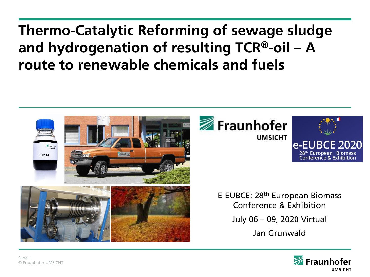# **Thermo-Catalytic Reforming of sewage sludge and hydrogenation of resulting TCR®-oil – A route to renewable chemicals and fuels**







E-EUBCE: 28th European Biomass Conference & Exhibition

July 06 – 09, 2020 Virtual

Jan Grunwald

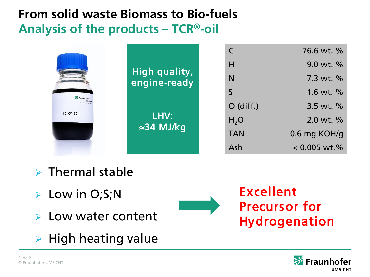# **From solid waste Biomass to Bio-fuels Analysis of the products – TCR®-oil**

| Fraunhofer<br>reth soll for two news<br>TCR <sup>®</sup> -Oil | High quality,<br>engine-ready |                  | 76.6 wt. %     |
|---------------------------------------------------------------|-------------------------------|------------------|----------------|
|                                                               |                               | H                | 9.0 wt. %      |
|                                                               |                               | N                | 7.3 wt. %      |
|                                                               |                               | S                | 1.6 wt. $%$    |
|                                                               | LHV:<br>$\approx$ 34 MJ/kg    | $O$ (diff.)      | 3.5 wt. $%$    |
|                                                               |                               | H <sub>2</sub> O | 2.0 wt. %      |
|                                                               |                               | <b>TAN</b>       | 0.6 mg KOH/g   |
|                                                               |                               | Ash              | $< 0.005$ wt.% |

- $\triangleright$  Thermal stable
- Low in O;S;N
- **► Low water content**
- $\triangleright$  High heating value

Excellent Precursor for Hydrogenation

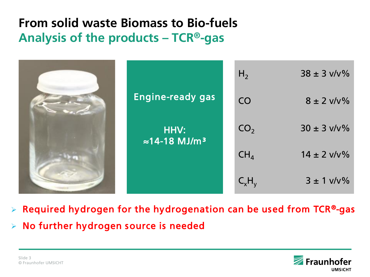### **From solid waste Biomass to Bio-fuels Analysis of the products – TCR®-gas**

|                                           | H <sub>2</sub>  | $38 \pm 3 \frac{v}{v}$ %    |
|-------------------------------------------|-----------------|-----------------------------|
| <b>Engine-ready gas</b>                   | CO              | $8 \pm 2 \frac{\nu}{\nu\%}$ |
| HHV:<br>$\approx$ 14-18 MJ/m <sup>3</sup> | CO <sub>2</sub> | $30 \pm 3 \frac{v}{v}$ %    |
|                                           | CH <sub>4</sub> | $14 \pm 2 \frac{v}{v}$ %    |
|                                           | $C_xH_y$        | $3 \pm 1 \frac{v}{v\%}$     |

 $\triangleright$  Required hydrogen for the hydrogenation can be used from TCR®-gas

> No further hydrogen source is needed

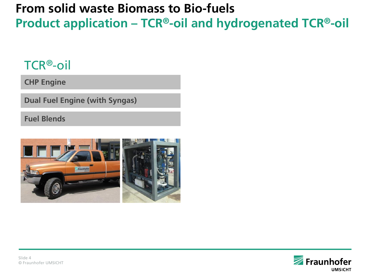# **From solid waste Biomass to Bio-fuels Product application – TCR®-oil and hydrogenated TCR®-oil**

### TCR®-oil

**CHP Engine**

**Dual Fuel Engine (with Syngas)**

**Fuel Blends**



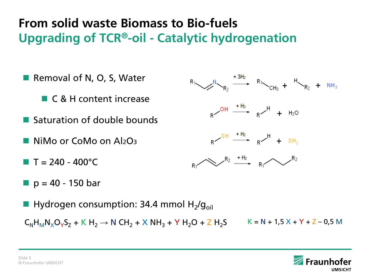# **From solid waste Biomass to Bio-fuels Upgrading of TCR®-oil - Catalytic hydrogenation**

- Removal of N, O, S, Water  $R_1 \longrightarrow R_2 \xrightarrow{+3H_2} R_1 \longrightarrow R_1 \longrightarrow_{CH_3} + \longrightarrow_{R_2} + NH_3$ **C** & H content increase  $R \sim$ <sup>OH  $\longrightarrow$   $R \sim$ <sup>H</sup> + H<sub>2</sub>O</sup> **Saturation of double bounds**  $R \xrightarrow{SH} \xrightarrow{+H_2} R \xrightarrow{H} + SH_2$ ■ NiMo or CoMo on Al<sub>2</sub>O<sub>3</sub>  $R_1 \rightarrow R_2 \rightarrow R_1 \rightarrow R_1$  $T = 240 - 400^{\circ}C$  $p = 40 - 150$  bar
- **Hydrogen consumption: 34.4 mmol H2/g**<sub>oil</sub>  $C_NH_MN_XO_VS_7 + K H_2 \rightarrow N CH_2 + X NH_3 + Y H_2O + Z H_2S$   $K = N + 1.5 X + Y + Z - 0.5 M$

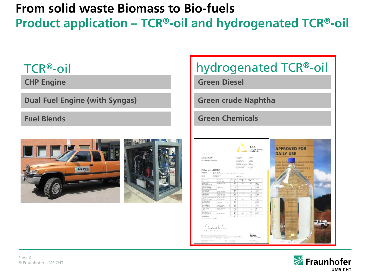### **From solid waste Biomass to Bio-fuels Product application – TCR®-oil and hydrogenated TCR®-oil**

# TCR®-oil hydrogenated TCR®-oil **CHP Engine Green Diesel Dual Fuel Engine (with Syngas) Green crude Naphtha Green ChemicalsFuel Blends** ASG<br>Analytik-Service **APPROVED FOR DAILY USE**  $: 2307169 -$

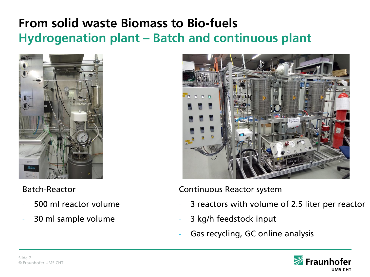# **From solid waste Biomass to Bio-fuels Hydrogenation plant – Batch and continuous plant**



#### Batch-Reactor

- 500 ml reactor volume
- 30 ml sample volume



Continuous Reactor system

- 3 reactors with volume of 2.5 liter per reactor
- 3 kg/h feedstock input
- Gas recycling, GC online analysis

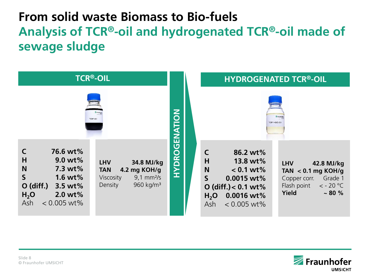# **From solid waste Biomass to Bio-fuels Analysis of TCR®-oil and hydrogenated TCR®-oil made of sewage sludge**

| <b>TCR®-OIL</b>                                                                                                                                                                                                                                                                                          |               | <b>HYDROGENATED TCR®-OIL</b>                                                                                                                                                                                                                                                                    |  |  |
|----------------------------------------------------------------------------------------------------------------------------------------------------------------------------------------------------------------------------------------------------------------------------------------------------------|---------------|-------------------------------------------------------------------------------------------------------------------------------------------------------------------------------------------------------------------------------------------------------------------------------------------------|--|--|
| TCR <sup>*</sup> -Oil                                                                                                                                                                                                                                                                                    |               | TCR <sup>w</sup> -HDO-Oi                                                                                                                                                                                                                                                                        |  |  |
| 76.6 wt%<br>H<br>$9.0 \text{ wt\%}$<br><b>LHV</b><br>34.8 MJ/kg<br>N<br>7.3 wt%<br>4.2 mg KOH/g<br><b>TAN</b><br>$\mathsf{S}$<br>1.6 wt $%$<br>Viscosity<br>$9,1 \text{ mm}^2$ /s<br>960 kg/m <sup>3</sup><br>Density<br>$O$ (diff.)<br>$3.5$ wt%<br>2.0 wt%<br>H <sub>2</sub> O<br>Ash<br>$< 0.005$ wt% | HYDROGENATION | 86.2 wt%<br>H<br>13.8 wt%<br><b>LHV</b><br>42.8 MJ/kg<br>N<br>$< 0.1 wt$ %<br>TAN $< 0.1$ mg KOH/g<br>$\mathsf{S}$<br>0.0015 wt<br>Grade 1<br>Copper corr.<br>Flash point<br>$<$ - 20 °C<br>O (diff.) $< 0.1$ wt%<br>Yield<br>~1.80~%<br>0.0016 wt%<br>H <sub>2</sub> O<br>$< 0.005$ wt%<br>Ash |  |  |

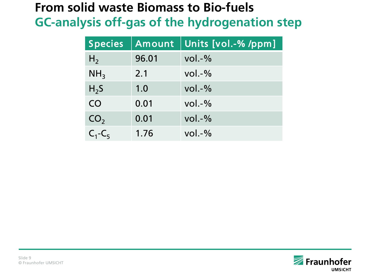## **From solid waste Biomass to Bio-fuels GC-analysis off-gas of the hydrogenation step**

| <b>Species</b>  | Amount | Units [vol.-%/ppm] |
|-----------------|--------|--------------------|
| H <sub>2</sub>  | 96.01  | $vol. -\%$         |
| NH <sub>3</sub> | 2.1    | $vol. -\%$         |
| $H_2S$          | 1.0    | $vol. -\%$         |
| CO              | 0.01   | $vol. -\%$         |
| CO <sub>2</sub> | 0.01   | $vol. -\%$         |
| $C_1-C_5$       | 1.76   | $vol. -\%$         |

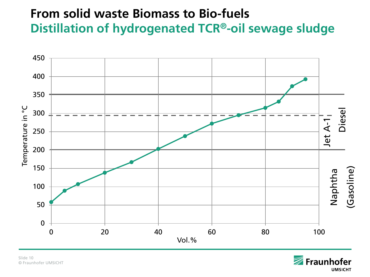# **From solid waste Biomass to Bio-fuels Distillation of hydrogenated TCR®-oil sewage sludge**



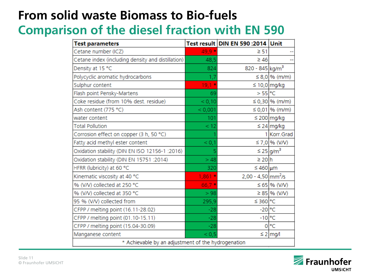### **From solid waste Biomass to Bio-fuels Comparison of the diesel fraction with EN 590**

| <b>Test parameters</b>                             |          | Test result DIN EN 590:2014 Unit |                            |
|----------------------------------------------------|----------|----------------------------------|----------------------------|
| Cetane number (ICZ)                                | 49,9 *   | $\geq 51$                        |                            |
| Cetane index (including density and distillation)  | 48,5     | $\geq 46$                        |                            |
| Density at 15 °C                                   | 824      | 820 - 845 kg/m <sup>3</sup>      |                            |
| Polycyclic aromatic hydrocarbons                   | 1,7      |                                  | $\leq 8.0$ % (m/m)         |
| Sulphur content                                    | $19,1*$  |                                  | $\leq 10,0$ mg/kg          |
| Flash point Pensky-Martens                         | 69       | $>$ 55 °C                        |                            |
| Coke residue (from 10% dest. residue)              | < 0,10   |                                  | ≤ 0,30 % (m/m)             |
| Ash content (775 °C)                               | < 0,001  |                                  | $\leq 0.01$ % (m/m)        |
| water content                                      | 101      |                                  | $\leq$ 200 mg/kg           |
| <b>Total Pollution</b>                             | < 12     |                                  | $\leq$ 24 mg/kg            |
| Corrosion effect on copper (3 h, 50 °C)            |          |                                  | 1 Korr.Grad                |
| Fatty acid methyl ester content                    | < 0,1    |                                  | ≤ 7,0 % (V/V)              |
| Oxidation stability (DIN EN ISO 12156-1 : 2016)    | 5        |                                  | $\leq$ 25 g/m <sup>3</sup> |
| Oxidation stability (DIN EN 15751 : 2014)          | >48      | $\geq 20 h$                      |                            |
| HFRR (lubricity) at 60 °C                          | 320      | ≤460 µm                          |                            |
| Kinematic viscosity at 40 °C                       | $1,861*$ | $2,00 - 4,50$ mm <sup>2</sup> /s |                            |
| % (V/V) collected at 250 °C                        | $66,7*$  |                                  | $\leq 65$ % (V/V)          |
| % (V/V) collected at 350 °C                        | > 98     |                                  | $\geq$ 85 % (V/V)          |
| 95 % (V/V) collected from                          | 295,9    | ≤ 360 °C                         |                            |
| CFPP / melting point (16.11-28.02)                 | $-28$    | $-20$ °C                         |                            |
| CFPP / melting point (01.10-15.11)                 | $-28$    | $-10$ <sup>o</sup> C             |                            |
| CFPP / melting point (15.04-30.09)                 | $-28$    |                                  | 0°C                        |
| Manganese content                                  | < 0, 5   |                                  | $\leq$ 2 mg/l              |
| * Achievable by an adjustment of the hydrogenation |          |                                  |                            |

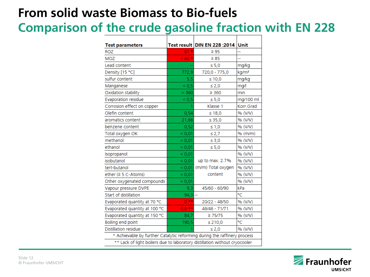# **From solid waste Biomass to Bio-fuels**

# **Comparison of the crude gasoline fraction with EN 228**

| $61*$                                                                      | $\geq 95$          |                                           |  |  |
|----------------------------------------------------------------------------|--------------------|-------------------------------------------|--|--|
| $< 60*$                                                                    | $\geq 85$          |                                           |  |  |
|                                                                            | $\leq 5.0$         | mg/kg                                     |  |  |
| 772,9                                                                      | 720,0 - 775,0      | kg/m <sup>3</sup>                         |  |  |
| 5,5                                                                        | $\leq 10,0$        | mg/kg                                     |  |  |
| ${}_{0,5}$                                                                 | $\leq 2.0$         | mg/l                                      |  |  |
| > 360                                                                      | $\geq 360$         | min                                       |  |  |
| ${}_{0,5}$                                                                 | $\leq 5,0$         | mg/100 ml                                 |  |  |
|                                                                            | Klasse 1           | Korr.Grad                                 |  |  |
| 0,54                                                                       | $\leq 18,0$        | % (V/V)                                   |  |  |
| 21,66                                                                      | $\leq 35,0$        | % (V/V)                                   |  |  |
| 0,52                                                                       | $\leq 1,0$         | % (V/V)                                   |  |  |
| < 0.01                                                                     | $\leq 2.7$         | % (m/m)                                   |  |  |
| < 0.01                                                                     | $\leq 3,0$         | % (V/V)                                   |  |  |
| < 0.01                                                                     | $\leq 5,0$         | % (V/V)                                   |  |  |
| < 0.01                                                                     |                    | % (V/V)                                   |  |  |
| < 0,01                                                                     | up to max. 2.7%    | % (V/V)                                   |  |  |
| < 0,01                                                                     | (m/m) Total oxygen | % (V/V)                                   |  |  |
| < 0.01                                                                     | content            | % (V/V)                                   |  |  |
| < 0.01                                                                     |                    | % (V/V)                                   |  |  |
| 9,3                                                                        | 45/60 - 60/90      | kPa                                       |  |  |
|                                                                            |                    | °C                                        |  |  |
| $0***$                                                                     | 20/22 - 48/50      | % (V/V)                                   |  |  |
| $0.8***$                                                                   | 46/46 - 71/71      | % (V/V)                                   |  |  |
| 84,7                                                                       | $\geq 75/75$       | % (V/V)                                   |  |  |
| 190,5                                                                      | $\leq 210,0$       | °C                                        |  |  |
|                                                                            | $\leq 2,0$         | % (V/V)                                   |  |  |
| * Achievable by further Catalytic reforming during the raffinery process   |                    |                                           |  |  |
| ** Lack of light boilers due to laboratory distillation without cryocooler |                    |                                           |  |  |
|                                                                            |                    | Test result DIN EN 228 :2014 Unit<br>94,3 |  |  |

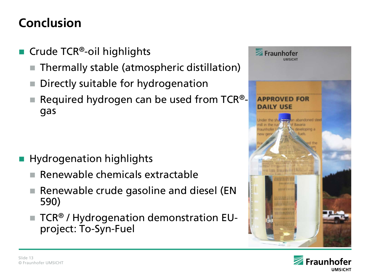# **Conclusion**

- Crude TCR<sup>®</sup>-oil highlights
	- Thermally stable (atmospheric distillation)
	- Directly suitable for hydrogenation
	- Required hydrogen can be used from TCR® gas

- Hydrogenation highlights
	- $\blacksquare$  Renewable chemicals extractable
	- Renewable crude gasoline and diesel (EN 590)
	- TCR® / Hydrogenation demonstration EUproject: To-Syn-Fuel